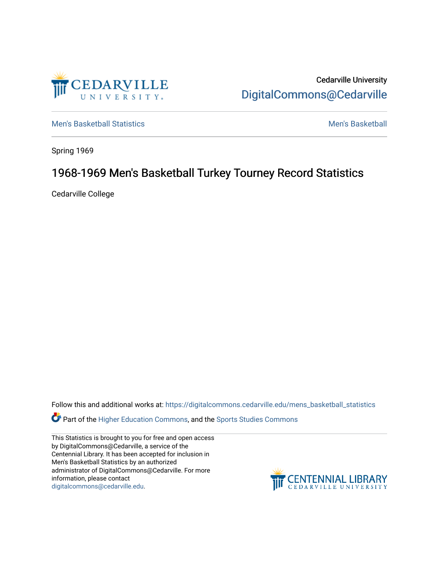

Cedarville University [DigitalCommons@Cedarville](https://digitalcommons.cedarville.edu/) 

[Men's Basketball Statistics](https://digitalcommons.cedarville.edu/mens_basketball_statistics) [Men's Basketball](https://digitalcommons.cedarville.edu/mens_basketball) 

Spring 1969

## 1968-1969 Men's Basketball Turkey Tourney Record Statistics

Cedarville College

Follow this and additional works at: [https://digitalcommons.cedarville.edu/mens\\_basketball\\_statistics](https://digitalcommons.cedarville.edu/mens_basketball_statistics?utm_source=digitalcommons.cedarville.edu%2Fmens_basketball_statistics%2F463&utm_medium=PDF&utm_campaign=PDFCoverPages) 

**Part of the [Higher Education Commons,](http://network.bepress.com/hgg/discipline/1245?utm_source=digitalcommons.cedarville.edu%2Fmens_basketball_statistics%2F463&utm_medium=PDF&utm_campaign=PDFCoverPages) and the Sports Studies Commons** 

This Statistics is brought to you for free and open access by DigitalCommons@Cedarville, a service of the Centennial Library. It has been accepted for inclusion in Men's Basketball Statistics by an authorized administrator of DigitalCommons@Cedarville. For more information, please contact [digitalcommons@cedarville.edu](mailto:digitalcommons@cedarville.edu).

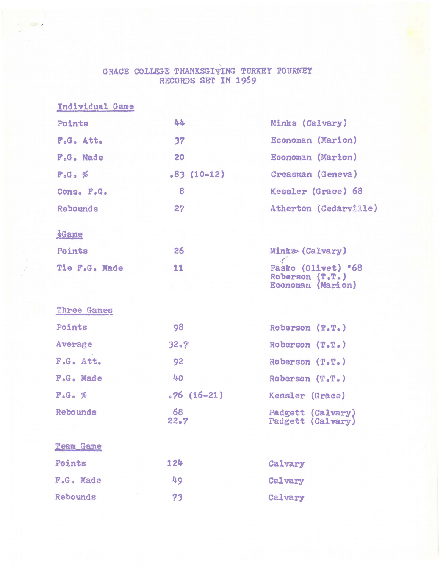## GRACE COLLEGE THANKSGIVING TURKEY TOURNEY RECORDS SET IN 1969

| Individual Game            |                  |                                         |
|----------------------------|------------------|-----------------------------------------|
| Points                     | 44               | Minks (Calvary)                         |
| F.G. Att.                  | 37               | Economan (Marion)                       |
| F.G. Made                  | 20               | <b>Economan (Marion)</b>                |
| $F_{o}G_{o}$ %             | $.83(10-12)$     | Creasman (Geneva)                       |
| Cons. F.G.                 | 8                | Kessler (Grace) 68                      |
| Rebounds                   | 27               | Atherton (Cedarville)                   |
|                            |                  |                                         |
| SGame                      |                  |                                         |
| Points                     | 26               | Minks (Calvary)                         |
| Tie F.G. Made              | 11               | Pasko (Olivet) '68<br>Roberson $(T.T.)$ |
|                            |                  | Economan (Marion)                       |
|                            |                  |                                         |
| Three Games                |                  |                                         |
| Points                     | 98               | Roberson $(T.T.)$                       |
| Average                    | 32.7             | Roberson $(T.T.)$                       |
| F.G. Att.                  | 92               | Roberson $(T \cdot T \cdot )$           |
| F.G. Made                  | 40               | Roberson $(T,T.)$                       |
| $F_{\bullet}G_{\bullet}$ % | $0.76$ (16 - 21) | Kessler (Grace)                         |
| Rebounds                   | 68               | Padgett (Calvary)                       |
|                            | 22.7             | Padgett (Calvary)                       |
| <b>Team Game</b>           |                  |                                         |
| Points                     | 124              | Calvary                                 |
| F.G. Made                  | 49               | <b>Calvary</b>                          |
| Rebounds                   | 73               | Calvary                                 |

 $\frac{1}{2}$  ,  $\frac{1}{2}$